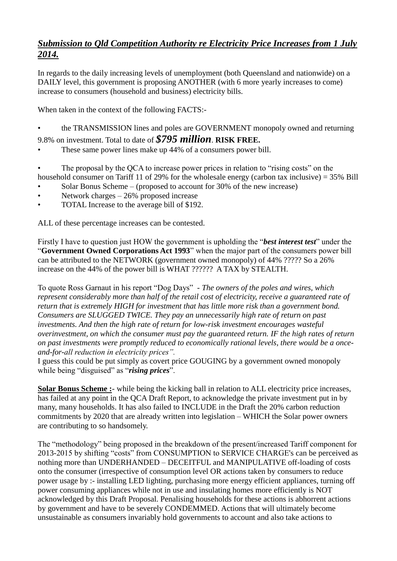## *Submission to Qld Competition Authority re Electricity Price Increases from 1 July 2014.*

In regards to the daily increasing levels of unemployment (both Queensland and nationwide) on a DAILY level, this government is proposing ANOTHER (with 6 more yearly increases to come) increase to consumers (household and business) electricity bills.

When taken in the context of the following FACTS:-

• the TRANSMISSION lines and poles are GOVERNMENT monopoly owned and returning

9.8% on investment. Total to date of *\$795 million*. **RISK FREE.**

These same power lines make up 44% of a consumers power bill.

The proposal by the QCA to increase power prices in relation to "rising costs" on the household consumer on Tariff 11 of 29% for the wholesale energy (carbon tax inclusive) = 35% Bill

- Solar Bonus Scheme (proposed to account for 30% of the new increase)
- Network charges  $-26\%$  proposed increase
- TOTAL Increase to the average bill of \$192.

ALL of these percentage increases can be contested.

Firstly I have to question just HOW the government is upholding the "*best interest test*" under the "**Government Owned Corporations Act 1993**" when the major part of the consumers power bill can be attributed to the NETWORK (government owned monopoly) of 44% ????? So a 26% increase on the 44% of the power bill is WHAT ?????? A TAX by STEALTH.

To quote Ross Garnaut in his report "Dog Days" - *The owners of the poles and wires, which represent considerably more than half of the retail cost of electricity, receive a guaranteed rate of return that is extremely HIGH for investment that has little more risk than a government bond. Consumers are SLUGGED TWICE. They pay an unnecessarily high rate of return on past investments. And then the high rate of return for low-risk investment encourages wasteful overinvestment, on which the consumer must pay the guaranteed return. IF the high rates of return on past investments were promptly reduced to economically rational levels, there would be a onceand-for-all reduction in electricity prices".*

I guess this could be put simply as covert price GOUGING by a government owned monopoly while being "disguised" as "*rising prices*".

**Solar Bonus Scheme :**- while being the kicking ball in relation to ALL electricity price increases, has failed at any point in the QCA Draft Report, to acknowledge the private investment put in by many, many households. It has also failed to INCLUDE in the Draft the 20% carbon reduction commitments by 2020 that are already written into legislation – WHICH the Solar power owners are contributing to so handsomely.

The "methodology" being proposed in the breakdown of the present/increased Tariff component for 2013-2015 by shifting "costs" from CONSUMPTION to SERVICE CHARGE's can be perceived as nothing more than UNDERHANDED – DECEITFUL and MANIPULATIVE off-loading of costs onto the consumer (irrespective of consumption level OR actions taken by consumers to reduce power usage by :- installing LED lighting, purchasing more energy efficient appliances, turning off power consuming appliances while not in use and insulating homes more efficiently is NOT acknowledged by this Draft Proposal. Penalising households for these actions is abhorrent actions by government and have to be severely CONDEMMED. Actions that will ultimately become unsustainable as consumers invariably hold governments to account and also take actions to